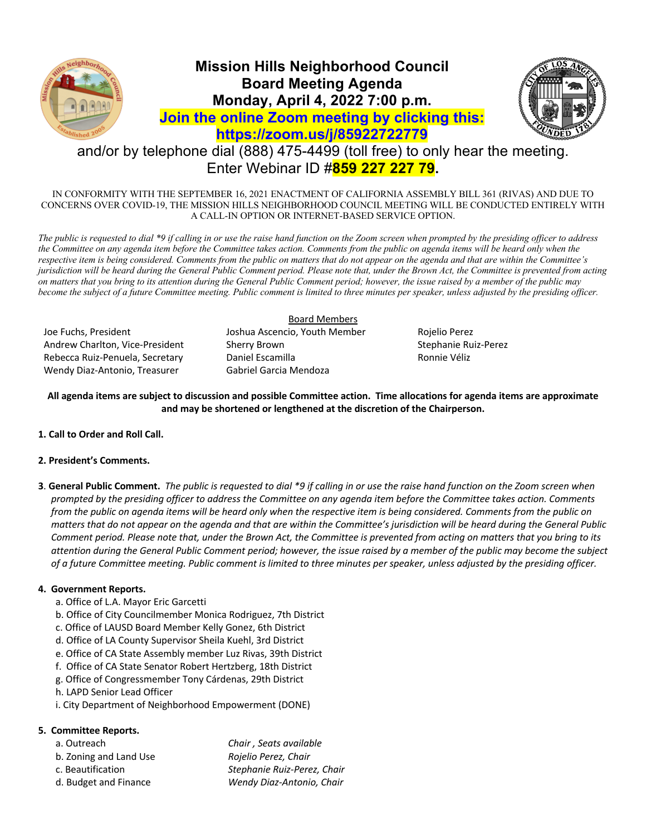

# **Mission Hills Neighborhood Council Board Meeting Agenda Monday, April 4, 2022 7:00 p.m. Join the online Zoom meeting by clicking this: https://zoom.us/j/85922722779**



# and/or by telephone dial (888) 475-4499 (toll free) to only hear the meeting. Enter Webinar ID #**859 227 227 79.**

IN CONFORMITY WITH THE SEPTEMBER 16, 2021 ENACTMENT OF CALIFORNIA ASSEMBLY BILL 361 (RIVAS) AND DUE TO CONCERNS OVER COVID-19, THE MISSION HILLS NEIGHBORHOOD COUNCIL MEETING WILL BE CONDUCTED ENTIRELY WITH A CALL-IN OPTION OR INTERNET-BASED SERVICE OPTION.

*The public is requested to dial \*9 if calling in or use the raise hand function on the Zoom screen when prompted by the presiding officer to address the Committee on any agenda item before the Committee takes action. Comments from the public on agenda items will be heard only when the respective item is being considered. Comments from the public on matters that do not appear on the agenda and that are within the Committee's jurisdiction will be heard during the General Public Comment period. Please note that, under the Brown Act, the Committee is prevented from acting on matters that you bring to its attention during the General Public Comment period; however, the issue raised by a member of the public may become the subject of a future Committee meeting. Public comment is limited to three minutes per speaker, unless adjusted by the presiding officer.* 

Joe Fuchs, President Joshua Ascencio, Youth Member Rojelio Perez Andrew Charlton, Vice-President Sherry Brown Stephanie Ruiz-Perez Rebecca Ruiz-Penuela, Secretary **Daniel Escamilla** Ronnie Véliz Wendy Diaz-Antonio, Treasurer Gabriel Garcia Mendoza

Board Members

**All agenda items are subject to discussion and possible Committee action. Time allocations for agenda items are approximate and may be shortened or lengthened at the discretion of the Chairperson.**

**1. Call to Order and Roll Call.**

## **2. President's Comments.**

**3**. **General Public Comment.** *The public is requested to dial \*9 if calling in or use the raise hand function on the Zoom screen when prompted by the presiding officer to address the Committee on any agenda item before the Committee takes action. Comments from the public on agenda items will be heard only when the respective item is being considered. Comments from the public on matters that do not appear on the agenda and that are within the Committee's jurisdiction will be heard during the General Public Comment period. Please note that, under the Brown Act, the Committee is prevented from acting on matters that you bring to its attention during the General Public Comment period; however, the issue raised by a member of the public may become the subject of a future Committee meeting. Public comment is limited to three minutes per speaker, unless adjusted by the presiding officer.*

# **4. Government Reports.**

- a. Office of L.A. Mayor Eric Garcetti
- b. Office of City Councilmember Monica Rodriguez, 7th District
- c. Office of LAUSD Board Member Kelly Gonez, 6th District
- d. Office of LA County Supervisor Sheila Kuehl, 3rd District
- e. Office of CA State Assembly member Luz Rivas, 39th District
- f. Office of CA State Senator Robert Hertzberg, 18th District
- g. Office of Congressmember Tony Cárdenas, 29th District
- h. LAPD Senior Lead Officer
- i. City Department of Neighborhood Empowerment (DONE)

## **5. Committee Reports.**

- a. Outreach *Chair , Seats available*
- b. Zoning and Land Use *Rojelio Perez, Chair*
- c. Beautification *Stephanie Ruiz-Perez, Chair*
- d. Budget and Finance *Wendy Diaz-Antonio, Chair*
- 
-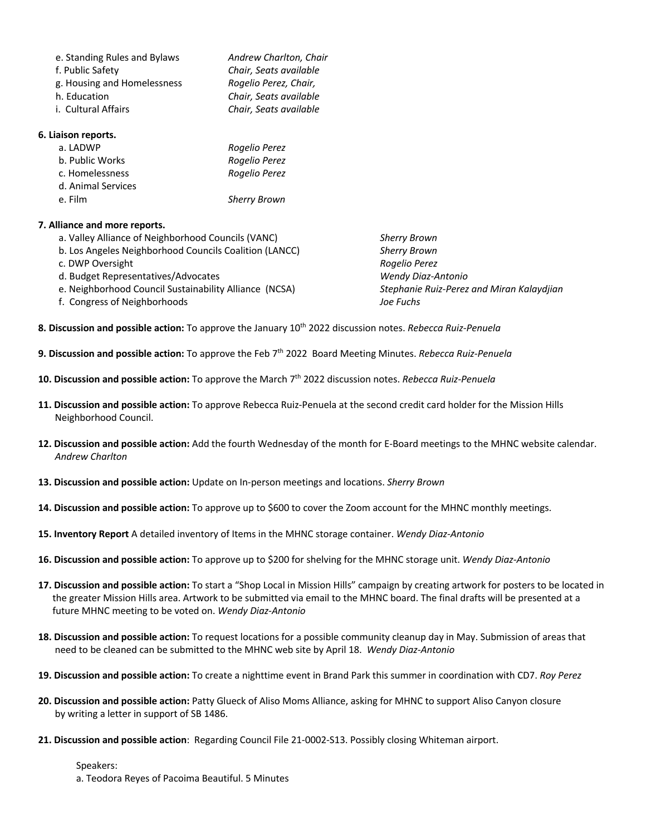| e. Standing Rules and Bylaws | Andrew Charlton, Chair |
|------------------------------|------------------------|
|                              |                        |
| f. Public Safety             | Chair, Seats available |
| g. Housing and Homelessness  | Rogelio Perez, Chair,  |
| h. Education                 | Chair, Seats available |
| i. Cultural Affairs          | Chair, Seats available |
|                              |                        |

#### **6. Liaison reports.**

| a. LADWP           | Rogelio Perez       |
|--------------------|---------------------|
| b. Public Works    | Rogelio Perez       |
| c. Homelessness    | Rogelio Perez       |
| d. Animal Services |                     |
| e. Film            | <b>Sherry Brown</b> |

## **7. Alliance and more reports.**

- a. Valley Alliance of Neighborhood Councils (VANC) *Sherry Brown*
- b. Los Angeles Neighborhood Councils Coalition (LANCC) *Sherry Brown*
- c. DWP Oversight *Rogelio Perez*
- d. Budget Representatives/Advocates *Wendy Diaz-Antonio*
- e. Neighborhood Council Sustainability Alliance (NCSA) *Stephanie Ruiz-Perez and Miran Kalaydjian*
- f. Congress of Neighborhoods *Joe Fuchs*

- **8. Discussion and possible action:** To approve the January 10th 2022 discussion notes. *Rebecca Ruiz-Penuela*
- **9. Discussion and possible action:** To approve the Feb 7th 2022 Board Meeting Minutes. *Rebecca Ruiz-Penuela*
- **10. Discussion and possible action:** To approve the March 7th 2022 discussion notes. *Rebecca Ruiz-Penuela*
- **11. Discussion and possible action:** To approve Rebecca Ruiz-Penuela at the second credit card holder for the Mission Hills Neighborhood Council.
- **12. Discussion and possible action:** Add the fourth Wednesday of the month for E-Board meetings to the MHNC website calendar.  *Andrew Charlton*
- **13. Discussion and possible action:** Update on In-person meetings and locations. *Sherry Brown*
- **14. Discussion and possible action:** To approve up to \$600 to cover the Zoom account for the MHNC monthly meetings.
- **15. Inventory Report** A detailed inventory of Items in the MHNC storage container. *Wendy Diaz-Antonio*
- **16. Discussion and possible action:** To approve up to \$200 for shelving for the MHNC storage unit. *Wendy Diaz-Antonio*
- **17. Discussion and possible action:** To start a "Shop Local in Mission Hills" campaign by creating artwork for posters to be located in the greater Mission Hills area. Artwork to be submitted via email to the MHNC board. The final drafts will be presented at a future MHNC meeting to be voted on. *Wendy Diaz-Antonio*
- **18. Discussion and possible action:** To request locations for a possible community cleanup day in May. Submission of areas that need to be cleaned can be submitted to the MHNC web site by April 18. *Wendy Diaz-Antonio*
- **19. Discussion and possible action:** To create a nighttime event in Brand Park this summer in coordination with CD7. *Roy Perez*
- **20. Discussion and possible action:** Patty Glueck of Aliso Moms Alliance, asking for MHNC to support Aliso Canyon closure by writing a letter in support of SB 1486.
- **21. Discussion and possible action**: Regarding Council File 21-0002-S13. Possibly closing Whiteman airport.

Speakers:

a. Teodora Reyes of Pacoima Beautiful. 5 Minutes